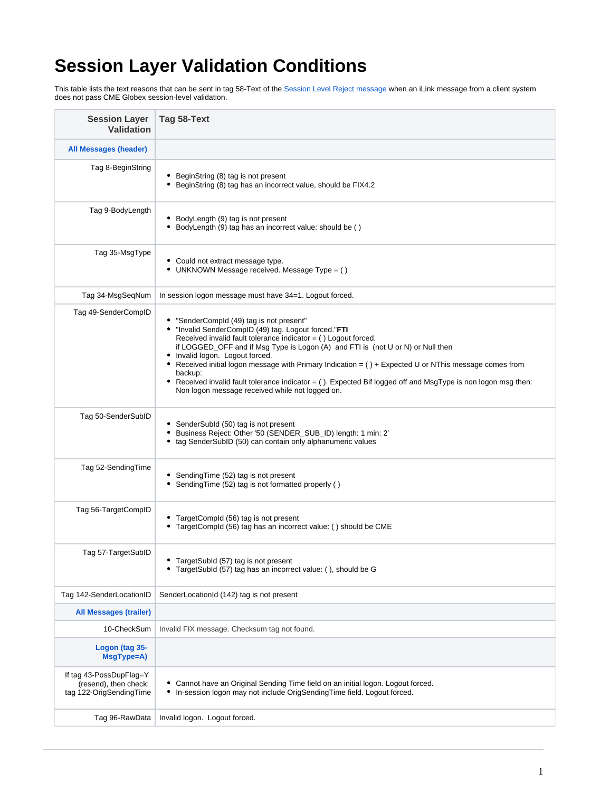## **Session Layer Validation Conditions**

This table lists the text reasons that can be sent in tag 58-Text of the [Session Level Reject message](https://www.cmegroup.com/confluence/display/EPICSANDBOX/iLink+2+Session+Level+Reject) when an iLink message from a client system does not pass CME Globex session-level validation.

| <b>Session Layer</b><br><b>Validation</b>                                   | Tag 58-Text                                                                                                                                                                                                                                                                                                                                                                                                                                                                                                                                                                          |
|-----------------------------------------------------------------------------|--------------------------------------------------------------------------------------------------------------------------------------------------------------------------------------------------------------------------------------------------------------------------------------------------------------------------------------------------------------------------------------------------------------------------------------------------------------------------------------------------------------------------------------------------------------------------------------|
| <b>All Messages (header)</b>                                                |                                                                                                                                                                                                                                                                                                                                                                                                                                                                                                                                                                                      |
| Tag 8-BeginString                                                           | • BeginString (8) tag is not present<br>• BeginString (8) tag has an incorrect value, should be FIX4.2                                                                                                                                                                                                                                                                                                                                                                                                                                                                               |
| Tag 9-BodyLength                                                            | • BodyLength (9) tag is not present<br>• BodyLength (9) tag has an incorrect value: should be ()                                                                                                                                                                                                                                                                                                                                                                                                                                                                                     |
| Tag 35-MsgType                                                              | • Could not extract message type.<br>• UNKNOWN Message received. Message Type = ()                                                                                                                                                                                                                                                                                                                                                                                                                                                                                                   |
| Tag 34-MsgSeqNum                                                            | In session logon message must have 34=1. Logout forced.                                                                                                                                                                                                                                                                                                                                                                                                                                                                                                                              |
| Tag 49-SenderCompID                                                         | • "SenderCompld (49) tag is not present"<br>. "Invalid SenderCompID (49) tag. Logout forced."FTI<br>Received invalid fault tolerance indicator $=$ ( ) Logout forced.<br>if LOGGED_OFF and if Msg Type is Logon (A) and FTI is (not U or N) or Null then<br>• Invalid logon. Logout forced.<br>• Received initial logon message with Primary Indication = () + Expected U or NThis message comes from<br>backup:<br>• Received invalid fault tolerance indicator = (). Expected Bif logged off and MsgType is non logon msg then:<br>Non logon message received while not logged on. |
| Tag 50-SenderSubID                                                          | • SenderSubld (50) tag is not present<br>• Business Reject: Other '50 (SENDER_SUB_ID) length: 1 min: 2'<br>• tag SenderSubID (50) can contain only alphanumeric values                                                                                                                                                                                                                                                                                                                                                                                                               |
| Tag 52-SendingTime                                                          | • SendingTime (52) tag is not present<br>• SendingTime (52) tag is not formatted properly ()                                                                                                                                                                                                                                                                                                                                                                                                                                                                                         |
| Tag 56-TargetCompID                                                         | • TargetCompld (56) tag is not present<br>• TargetCompld (56) tag has an incorrect value: () should be CME                                                                                                                                                                                                                                                                                                                                                                                                                                                                           |
| Tag 57-TargetSubID                                                          | TargetSubld (57) tag is not present<br>٠<br>TargetSubld (57) tag has an incorrect value: (), should be G                                                                                                                                                                                                                                                                                                                                                                                                                                                                             |
| Tag 142-SenderLocationID                                                    | SenderLocationId (142) tag is not present                                                                                                                                                                                                                                                                                                                                                                                                                                                                                                                                            |
| <b>All Messages (trailer)</b>                                               |                                                                                                                                                                                                                                                                                                                                                                                                                                                                                                                                                                                      |
| 10-CheckSum                                                                 | Invalid FIX message. Checksum tag not found.                                                                                                                                                                                                                                                                                                                                                                                                                                                                                                                                         |
| Logon (tag 35-<br>MsgType=A)                                                |                                                                                                                                                                                                                                                                                                                                                                                                                                                                                                                                                                                      |
| If tag 43-PossDupFlag=Y<br>(resend), then check:<br>tag 122-OrigSendingTime | Cannot have an Original Sending Time field on an initial logon. Logout forced.<br>In-session logon may not include OrigSendingTime field. Logout forced.<br>٠                                                                                                                                                                                                                                                                                                                                                                                                                        |
| Tag 96-RawData                                                              | Invalid logon. Logout forced.                                                                                                                                                                                                                                                                                                                                                                                                                                                                                                                                                        |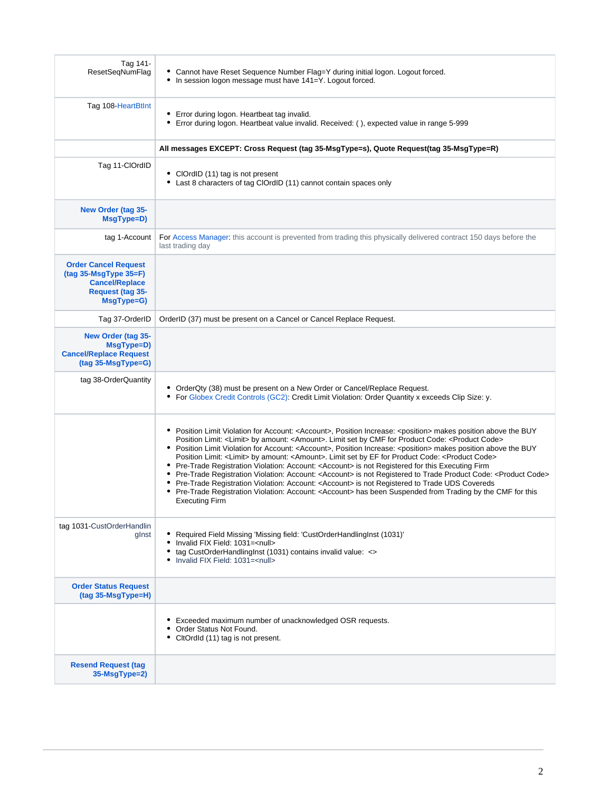| Tag 141-<br>ResetSeqNumFlag                                                                                       | • Cannot have Reset Sequence Number Flag=Y during initial logon. Logout forced.<br>• In session logon message must have 141=Y. Logout forced.                                                                                                                                                                                                                                                                                                                                                                                                                                                                                                                                                                                                                                                                                                                                                                                                                                                                                                                    |
|-------------------------------------------------------------------------------------------------------------------|------------------------------------------------------------------------------------------------------------------------------------------------------------------------------------------------------------------------------------------------------------------------------------------------------------------------------------------------------------------------------------------------------------------------------------------------------------------------------------------------------------------------------------------------------------------------------------------------------------------------------------------------------------------------------------------------------------------------------------------------------------------------------------------------------------------------------------------------------------------------------------------------------------------------------------------------------------------------------------------------------------------------------------------------------------------|
| Tag 108-HeartBtInt                                                                                                | • Error during logon. Heartbeat tag invalid.<br>• Error during logon. Heartbeat value invalid. Received: (), expected value in range 5-999                                                                                                                                                                                                                                                                                                                                                                                                                                                                                                                                                                                                                                                                                                                                                                                                                                                                                                                       |
|                                                                                                                   | All messages EXCEPT: Cross Request (tag 35-MsgType=s), Quote Request(tag 35-MsgType=R)                                                                                                                                                                                                                                                                                                                                                                                                                                                                                                                                                                                                                                                                                                                                                                                                                                                                                                                                                                           |
| Tag 11-ClOrdID                                                                                                    | • ClOrdID (11) tag is not present<br>• Last 8 characters of tag ClOrdID (11) cannot contain spaces only                                                                                                                                                                                                                                                                                                                                                                                                                                                                                                                                                                                                                                                                                                                                                                                                                                                                                                                                                          |
| New Order (tag 35-<br>MsgType=D)                                                                                  |                                                                                                                                                                                                                                                                                                                                                                                                                                                                                                                                                                                                                                                                                                                                                                                                                                                                                                                                                                                                                                                                  |
| tag 1-Account                                                                                                     | For Access Manager: this account is prevented from trading this physically delivered contract 150 days before the<br>last trading day                                                                                                                                                                                                                                                                                                                                                                                                                                                                                                                                                                                                                                                                                                                                                                                                                                                                                                                            |
| <b>Order Cancel Request</b><br>$(tag 35-MsgType 35=F)$<br><b>Cancel/Replace</b><br>Request (tag 35-<br>MsgType=G) |                                                                                                                                                                                                                                                                                                                                                                                                                                                                                                                                                                                                                                                                                                                                                                                                                                                                                                                                                                                                                                                                  |
| Tag 37-OrderID                                                                                                    | OrderID (37) must be present on a Cancel or Cancel Replace Request.                                                                                                                                                                                                                                                                                                                                                                                                                                                                                                                                                                                                                                                                                                                                                                                                                                                                                                                                                                                              |
| New Order (tag 35-<br>MsgType=D)<br><b>Cancel/Replace Request</b><br>(tag 35-MsgType=G)                           |                                                                                                                                                                                                                                                                                                                                                                                                                                                                                                                                                                                                                                                                                                                                                                                                                                                                                                                                                                                                                                                                  |
| tag 38-OrderQuantity                                                                                              | • OrderQty (38) must be present on a New Order or Cancel/Replace Request.<br>• For Globex Credit Controls (GC2): Credit Limit Violation: Order Quantity x exceeds Clip Size: y.                                                                                                                                                                                                                                                                                                                                                                                                                                                                                                                                                                                                                                                                                                                                                                                                                                                                                  |
|                                                                                                                   | • Position Limit Violation for Account: <account>, Position Increase: <position> makes position above the BUY<br/>Position Limit: <limit> by amount: <amount>. Limit set by CMF for Product Code: <product code=""><br/>• Position Limit Violation for Account: <account>, Position Increase: <position> makes position above the BUY<br/>Position Limit: <limit> by amount: <amount>. Limit set by EF for Product Code: <product code=""><br/>• Pre-Trade Registration Violation: Account: &lt; Account&gt; is not Registered for this Executing Firm<br/>. Pre-Trade Registration Violation: Account: <account> is not Registered to Trade Product Code: <product code=""><br/>• Pre-Trade Registration Violation: Account: <account> is not Registered to Trade UDS Covereds<br/>• Pre-Trade Registration Violation: Account: <account> has been Suspended from Trading by the CMF for this<br/><b>Executing Firm</b></account></account></product></account></product></amount></limit></position></account></product></amount></limit></position></account> |
| tag 1031-CustOrderHandlin<br>glnst                                                                                | • Required Field Missing 'Missing field: 'CustOrderHandlingInst (1031)'<br>• Invalid FIX Field: 1031= <null><br/>• tag CustOrderHandlingInst (1031) contains invalid value: &lt;&gt;<br/>• Invalid FIX Field: 1031=<null></null></null>                                                                                                                                                                                                                                                                                                                                                                                                                                                                                                                                                                                                                                                                                                                                                                                                                          |
| <b>Order Status Request</b><br>(tag 35-MsgType=H)                                                                 |                                                                                                                                                                                                                                                                                                                                                                                                                                                                                                                                                                                                                                                                                                                                                                                                                                                                                                                                                                                                                                                                  |
|                                                                                                                   | Exceeded maximum number of unacknowledged OSR requests.<br>Order Status Not Found.<br>• CltOrdId (11) tag is not present.                                                                                                                                                                                                                                                                                                                                                                                                                                                                                                                                                                                                                                                                                                                                                                                                                                                                                                                                        |
| <b>Resend Request (tag)</b><br>35-MsgType=2)                                                                      |                                                                                                                                                                                                                                                                                                                                                                                                                                                                                                                                                                                                                                                                                                                                                                                                                                                                                                                                                                                                                                                                  |